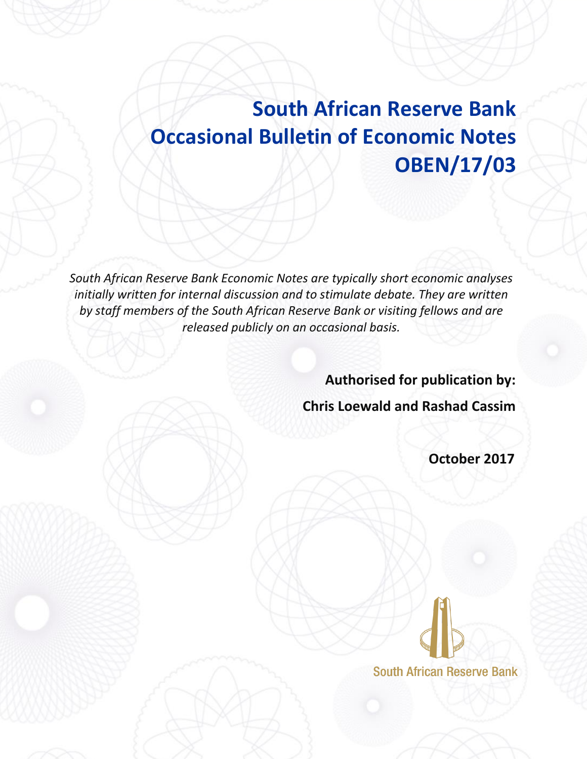# **South African Reserve Bank Occasional Bulletin of Economic Notes OBEN/17/03**

*South African Reserve Bank Economic Notes are typically short economic analyses*  initially written for internal discussion and to stimulate debate. They are written *by staff members of the South African Reserve Bank or visiting fellows and are released publicly on an occasional basis.*

**Authorised for publication by:** 

**Chris Loewald and Rashad Cassim**

 **October 2017** 

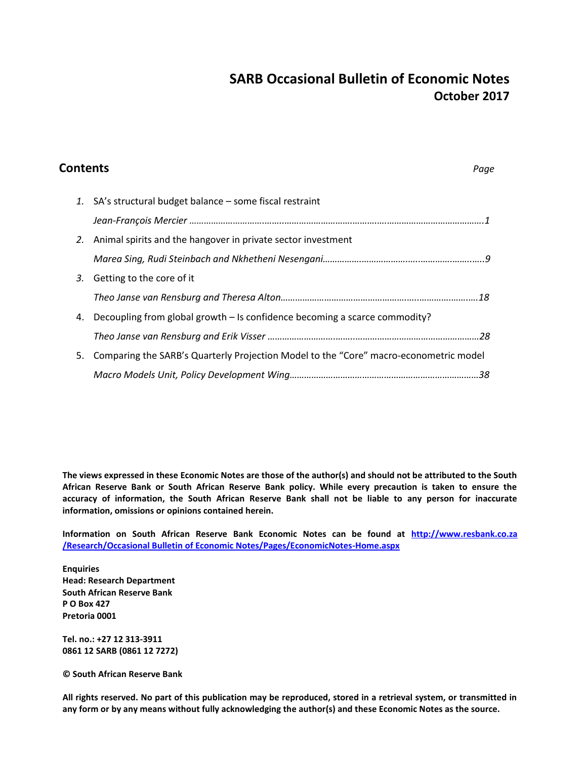## **SARB Occasional Bulletin of Economic Notes October 2017**

| <b>Contents</b> |                                                                                       |  |
|-----------------|---------------------------------------------------------------------------------------|--|
|                 | 1. SA's structural budget balance - some fiscal restraint                             |  |
|                 |                                                                                       |  |
| 2.              | Animal spirits and the hangover in private sector investment                          |  |
|                 |                                                                                       |  |
| 3.              | Getting to the core of it                                                             |  |
|                 |                                                                                       |  |
| 4.              | Decoupling from global growth – Is confidence becoming a scarce commodity?            |  |
|                 |                                                                                       |  |
| 5.              | Comparing the SARB's Quarterly Projection Model to the "Core" macro-econometric model |  |
|                 |                                                                                       |  |

**The views expressed in these Economic Notes are those of the author(s) and should not be attributed to the South African Reserve Bank or South African Reserve Bank policy. While every precaution is taken to ensure the accuracy of information, the South African Reserve Bank shall not be liable to any person for inaccurate information, omissions or opinions contained herein.**

**Information on South African Reserve Bank Economic Notes can be found at http://www.resbank.co.za /Research/Occasional Bulletin of Economic Notes/Pages/EconomicNotes-Home.aspx**

**Enquiries Head: Research Department South African Reserve Bank P O Box 427 Pretoria 0001**

**Tel. no.: +27 12 313-3911 0861 12 SARB (0861 12 7272)**

**© South African Reserve Bank**

**All rights reserved. No part of this publication may be reproduced, stored in a retrieval system, or transmitted in any form or by any means without fully acknowledging the author(s) and these Economic Notes as the source.**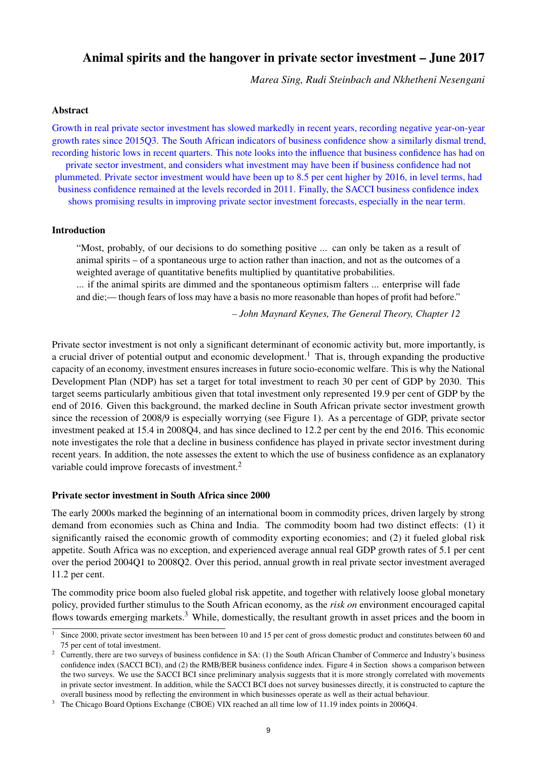### <span id="page-2-0"></span>Animal spirits and the hangover in private sector investment – June 2017

*Marea Sing, Rudi Steinbach and Nkhetheni Nesengani*

#### Abstract

Growth in real private sector investment has slowed markedly in recent years, recording negative year-on-year growth rates since 2015Q3. The South African indicators of business confidence show a similarly dismal trend, recording historic lows in recent quarters. This note looks into the influence that business confidence has had on private sector investment, and considers what investment may have been if business confidence had not plummeted. Private sector investment would have been up to 8.5 per cent higher by 2016, in level terms, had business confidence remained at the levels recorded in 2011. Finally, the SACCI business confidence index shows promising results in improving private sector investment forecasts, especially in the near term.

#### Introduction

"Most, probably, of our decisions to do something positive ... can only be taken as a result of animal spirits – of a spontaneous urge to action rather than inaction, and not as the outcomes of a weighted average of quantitative benefits multiplied by quantitative probabilities.

... if the animal spirits are dimmed and the spontaneous optimism falters ... enterprise will fade and die;— though fears of loss may have a basis no more reasonable than hopes of profit had before."

*– John Maynard Keynes, The General Theory, Chapter 12*

Private sector investment is not only a significant determinant of economic activity but, more importantly, is a crucial driver of potential output and economic development.<sup>1</sup> That is, through expanding the productive capacity of an economy, investment ensures increases in future socio-economic welfare. This is why the National Development Plan (NDP) has set a target for total investment to reach 30 per cent of GDP by 2030. This target seems particularly ambitious given that total investment only represented 19.9 per cent of GDP by the end of 2016. Given this background, the marked decline in South African private sector investment growth since the recession of 2008/9 is especially worrying (see Figure [1\)](#page-3-0). As a percentage of GDP, private sector investment peaked at 15.4 in 2008Q4, and has since declined to 12.2 per cent by the end 2016. This economic note investigates the role that a decline in business confidence has played in private sector investment during recent years. In addition, the note assesses the extent to which the use of business confidence as an explanatory variable could improve forecasts of investment.<sup>2</sup>

#### Private sector investment in South Africa since 2000

The early 2000s marked the beginning of an international boom in commodity prices, driven largely by strong demand from economies such as China and India. The commodity boom had two distinct effects: (1) it significantly raised the economic growth of commodity exporting economies; and (2) it fueled global risk appetite. South Africa was no exception, and experienced average annual real GDP growth rates of 5.1 per cent over the period 2004Q1 to 2008Q2. Over this period, annual growth in real private sector investment averaged 11.2 per cent.

The commodity price boom also fueled global risk appetite, and together with relatively loose global monetary policy, provided further stimulus to the South African economy, as the *risk on* environment encouraged capital flows towards emerging markets.<sup>3</sup> While, domestically, the resultant growth in asset prices and the boom in

<sup>&</sup>lt;sup>1</sup> Since 2000, private sector investment has been between 10 and 15 per cent of gross domestic product and constitutes between 60 and 75 per cent of total investment.

<sup>&</sup>lt;sup>2</sup> Currently, there are two surveys of business confidence in SA: (1) the South African Chamber of Commerce and Industry's business confidence index (SACCI BCI), and (2) the RMB/BER business confidence index. Figure 4 in Section shows a comparison between the two surveys. We use the SACCI BCI since preliminary analysis suggests that it is more strongly correlated with movements in private sector investment. In addition, while the SACCI BCI does not survey businesses directly, it is constructed to capture the overall business mood by reflecting the environment in which businesses operate as well as their actual behaviour.

<sup>&</sup>lt;sup>3</sup> The Chicago Board Options Exchange (CBOE) VIX reached an all time low of 11.19 index points in 2006Q4.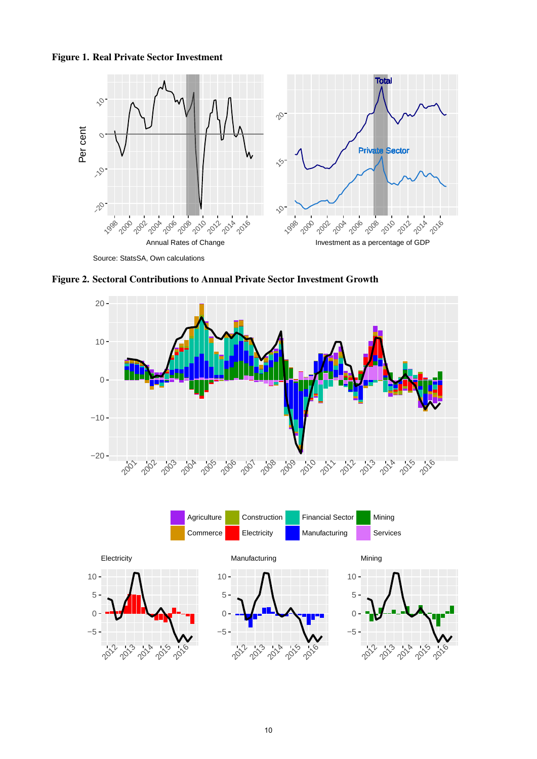#### <span id="page-3-0"></span>Figure 1. Real Private Sector Investment



Source: StatsSA, Own calculations

 $-5-$ 

 −5

~ 2015  $2<sup>0</sup>$  −5



<span id="page-3-1"></span>Figure 2. Sectoral Contributions to Annual Private Sector Investment Growth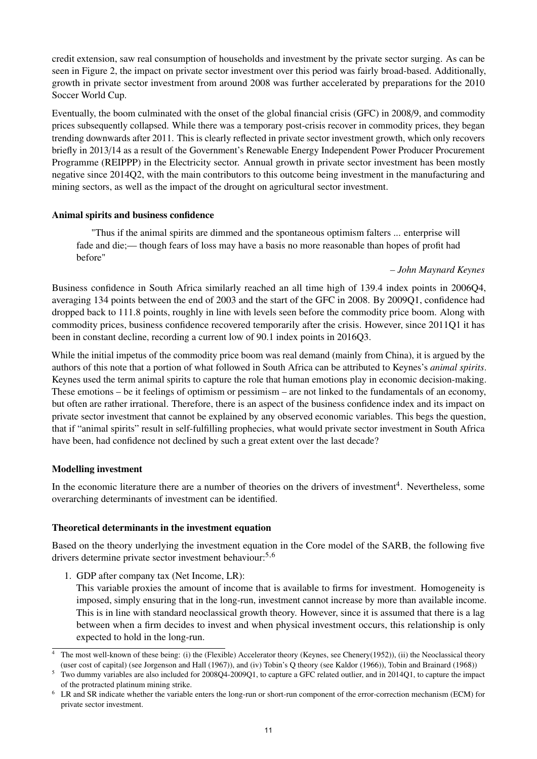credit extension, saw real consumption of households and investment by the private sector surging. As can be seen in Figure [2,](#page-3-1) the impact on private sector investment over this period was fairly broad-based. Additionally, growth in private sector investment from around 2008 was further accelerated by preparations for the 2010 Soccer World Cup.

Eventually, the boom culminated with the onset of the global financial crisis (GFC) in 2008/9, and commodity prices subsequently collapsed. While there was a temporary post-crisis recover in commodity prices, they began trending downwards after 2011. This is clearly reflected in private sector investment growth, which only recovers briefly in 2013/14 as a result of the Government's Renewable Energy Independent Power Producer Procurement Programme (REIPPP) in the Electricity sector. Annual growth in private sector investment has been mostly negative since 2014Q2, with the main contributors to this outcome being investment in the manufacturing and mining sectors, as well as the impact of the drought on agricultural sector investment.

#### Animal spirits and business confidence

"Thus if the animal spirits are dimmed and the spontaneous optimism falters ... enterprise will fade and die;— though fears of loss may have a basis no more reasonable than hopes of profit had before"

#### *– John Maynard Keynes*

Business confidence in South Africa similarly reached an all time high of 139.4 index points in 2006Q4, averaging 134 points between the end of 2003 and the start of the GFC in 2008. By 2009Q1, confidence had dropped back to 111.8 points, roughly in line with levels seen before the commodity price boom. Along with commodity prices, business confidence recovered temporarily after the crisis. However, since 2011Q1 it has been in constant decline, recording a current low of 90.1 index points in 2016Q3.

While the initial impetus of the commodity price boom was real demand (mainly from China), it is argued by the authors of this note that a portion of what followed in South Africa can be attributed to Keynes's *animal spirits*. Keynes used the term animal spirits to capture the role that human emotions play in economic decision-making. These emotions – be it feelings of optimism or pessimism – are not linked to the fundamentals of an economy, but often are rather irrational. Therefore, there is an aspect of the business confidence index and its impact on private sector investment that cannot be explained by any observed economic variables. This begs the question, that if "animal spirits" result in self-fulfilling prophecies, what would private sector investment in South Africa have been, had confidence not declined by such a great extent over the last decade?

#### Modelling investment

In the economic literature there are a number of theories on the drivers of investment<sup>[4](#page-2-0)</sup>. Nevertheless, some overarching determinants of investment can be identified.

#### Theoretical determinants in the investment equation

Based on the theory underlying the investment equation in the Core model of the SARB, the following five drivers determine private sector investment behaviour:<sup>[5,6](#page-2-0)</sup>

1. GDP after company tax (Net Income, LR):

This variable proxies the amount of income that is available to firms for investment. Homogeneity is imposed, simply ensuring that in the long-run, investment cannot increase by more than available income. This is in line with standard neoclassical growth theory. However, since it is assumed that there is a lag between when a firm decides to invest and when physical investment occurs, this relationship is only expected to hold in the long-run.

<sup>4</sup> The most well-known of these being: (i) the (Flexible) Accelerator theory (Keynes, see Chenery[\(1952\)](#page-10-0)), (ii) the Neoclassical theory (user cost of capital) (see Jorgenson and Hall [\(1967\)](#page-10-1)), and (iv) Tobin's Q theory (see Kaldor [\(1966\)](#page-10-2)), Tobin and Brainard [\(1968\)](#page-10-3))

<sup>5</sup> Two dummy variables are also included for 2008Q4-2009Q1, to capture a GFC related outlier, and in 2014Q1, to capture the impact of the protracted platinum mining strike.

<sup>6</sup> LR and SR indicate whether the variable enters the long-run or short-run component of the error-correction mechanism (ECM) for private sector investment.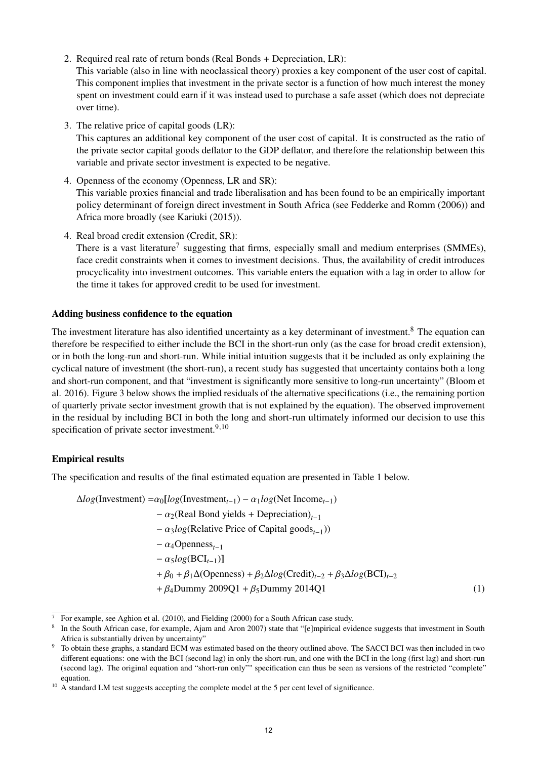- 2. Required real rate of return bonds (Real Bonds + Depreciation, LR): This variable (also in line with neoclassical theory) proxies a key component of the user cost of capital. This component implies that investment in the private sector is a function of how much interest the money spent on investment could earn if it was instead used to purchase a safe asset (which does not depreciate over time).
- 3. The relative price of capital goods (LR): This captures an additional key component of the user cost of capital. It is constructed as the ratio of the private sector capital goods deflator to the GDP deflator, and therefore the relationship between this variable and private sector investment is expected to be negative.
- 4. Openness of the economy (Openness, LR and SR): This variable proxies financial and trade liberalisation and has been found to be an empirically important policy determinant of foreign direct investment in South Africa (see Fedderke and Romm [\(2006\)](#page-10-4)) and Africa more broadly (see Kariuki [\(2015\)](#page-10-5)).
- 4. Real broad credit extension (Credit, SR): There is a vast literature<sup>[7](#page-2-0)</sup> suggesting that firms, especially small and medium enterprises (SMMEs), face credit constraints when it comes to investment decisions. Thus, the availability of credit introduces procyclicality into investment outcomes. This variable enters the equation with a lag in order to allow for the time it takes for approved credit to be used for investment.

#### Adding business confidence to the equation

The investment literature has also identified uncertainty as a key determinant of investment.<sup>[8](#page-2-0)</sup> The equation can therefore be respecified to either include the BCI in the short-run only (as the case for broad credit extension), or in both the long-run and short-run. While initial intuition suggests that it be included as only explaining the cyclical nature of investment (the short-run), a recent study has suggested that uncertainty contains both a long and short-run component, and that "investment is significantly more sensitive to long-run uncertainty" (Bloom et al. [2016\)](#page-10-6). Figure [3](#page-6-1) below shows the implied residuals of the alternative specifications (i.e., the remaining portion of quarterly private sector investment growth that is not explained by the equation). The observed improvement in the residual by including BCI in both the long and short-run ultimately informed our decision to use this specification of private sector investment. $9,10$ 

#### Empirical results

The specification and results of the final estimated equation are presented in Table [1](#page-6-0) below.

<span id="page-5-0"></span> $\Delta log(\text{Investment}) = \alpha_0 [log(\text{Investment}_{t-1}) - \alpha_1 log(\text{Net Income}_{t-1})]$ <sup>−</sup> <sup>α</sup>2(Real Bond yields <sup>+</sup> Depreciation)*t*−<sup>1</sup> − α<sub>3</sub>*log*(Relative Price of Capital goods<sub>t−1</sub>)) <sup>−</sup> <sup>α</sup>4Openness*t*−<sup>1</sup> <sup>−</sup> α5*log*(BCI*t*−1)] <sup>+</sup> <sup>β</sup><sup>0</sup> <sup>+</sup> <sup>β</sup>1∆(Openness) <sup>+</sup> <sup>β</sup>2∆*log*(Credit)*t*−<sup>2</sup> <sup>+</sup> <sup>β</sup>3∆*log*(BCI)*t*−<sup>2</sup>  $+ \beta_4$ Dummy 2009Q1 +  $\beta_5$ Dummy 2014Q1 (1)

<sup>&</sup>lt;sup>7</sup> For example, see Aghion et al. [\(2010\)](#page-10-7), and Fielding [\(2000\)](#page-10-8) for a South African case study.

<sup>&</sup>lt;sup>8</sup> In the South African case, for example, Ajam and Aron [2007\)](#page-10-9) state that "[e]mpirical evidence suggests that investment in South Africa is substantially driven by uncertainty"

<sup>&</sup>lt;sup>9</sup> To obtain these graphs, a standard ECM was estimated based on the theory outlined above. The SACCI BCI was then included in two different equations: one with the BCI (second lag) in only the short-run, and one with the BCI in the long (first lag) and short-run (second lag). The original equation and "short-run only"" specification can thus be seen as versions of the restricted "complete" equation.

<sup>&</sup>lt;sup>10</sup> A standard LM test suggests accepting the complete model at the 5 per cent level of significance.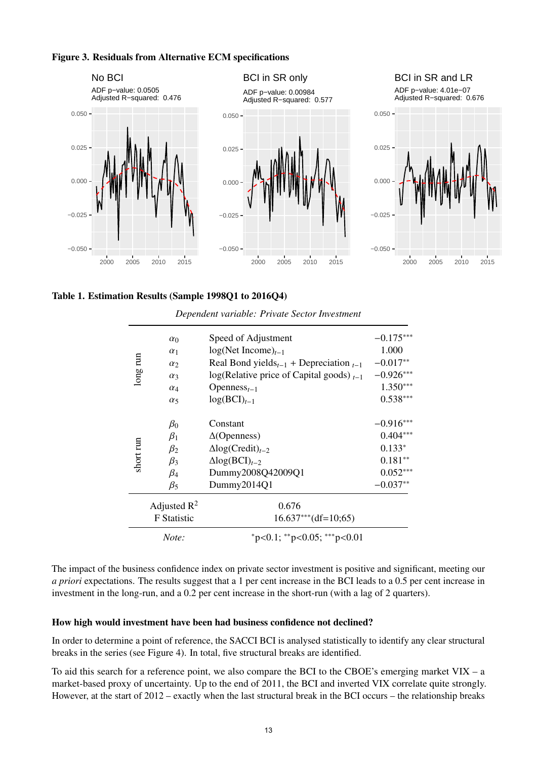

<span id="page-6-1"></span>

<span id="page-6-0"></span>

| Table 1. Estimation Results (Sample 1998Q1 to 2016Q4) |  |  |  |
|-------------------------------------------------------|--|--|--|
|-------------------------------------------------------|--|--|--|

| long run  | $\alpha_0$                           | Speed of Adjustment                                     | $-0.175***$ |
|-----------|--------------------------------------|---------------------------------------------------------|-------------|
|           | $\alpha_1$                           | $log(Net Income)_{t-1}$                                 | 1.000       |
|           | $\alpha$                             | Real Bond yields <sub>t-1</sub> + Depreciation $_{t-1}$ | $-0.017**$  |
|           | $\alpha_3$                           | $log(R$ elative price of Capital goods) $_{t-1}$        | $-0.926***$ |
|           | $\alpha_4$                           | Openness <sub><math>t-1</math></sub>                    | $1.350***$  |
|           | $\alpha_5$                           | $log(BCI)_{t-1}$                                        | $0.538***$  |
| short run | $\beta_0$                            | Constant                                                | $-0.916***$ |
|           | $\beta_1$                            | $\Delta$ (Openness)                                     | $0.404***$  |
|           | $\beta_2$                            | $\Delta$ log(Credit) <sub>t-2</sub>                     | $0.133*$    |
|           | $\beta_3$                            | $\Delta log(BCI)_{t-2}$                                 | $0.181**$   |
|           | $\beta_4$                            | Dummy2008Q42009Q1                                       | $0.052***$  |
|           | $\beta_5$                            | Dummy2014Q1                                             | $-0.037**$  |
|           | Adjusted $R^2$<br><b>F</b> Statistic | 0.676<br>$16.637***$ (df=10;65)                         |             |
|           | Note:                                | $p<0.1$ ; **p<0.05; ***p<0.01                           |             |

*Dependent variable: Private Sector Investment*

The impact of the business confidence index on private sector investment is positive and significant, meeting our *a priori* expectations. The results suggest that a 1 per cent increase in the BCI leads to a 0.5 per cent increase in investment in the long-run, and a 0.2 per cent increase in the short-run (with a lag of 2 quarters).

#### How high would investment have been had business confidence not declined?

In order to determine a point of reference, the SACCI BCI is analysed statistically to identify any clear structural breaks in the series (see Figure 4). In total, five structural breaks are identified.

To aid this search for a reference point, we also compare the BCI to the CBOE's emerging market  $VIX - a$ market-based proxy of uncertainty. Up to the end of 2011, the BCI and inverted VIX correlate quite strongly. However, at the start of 2012 – exactly when the last structural break in the BCI occurs – the relationship breaks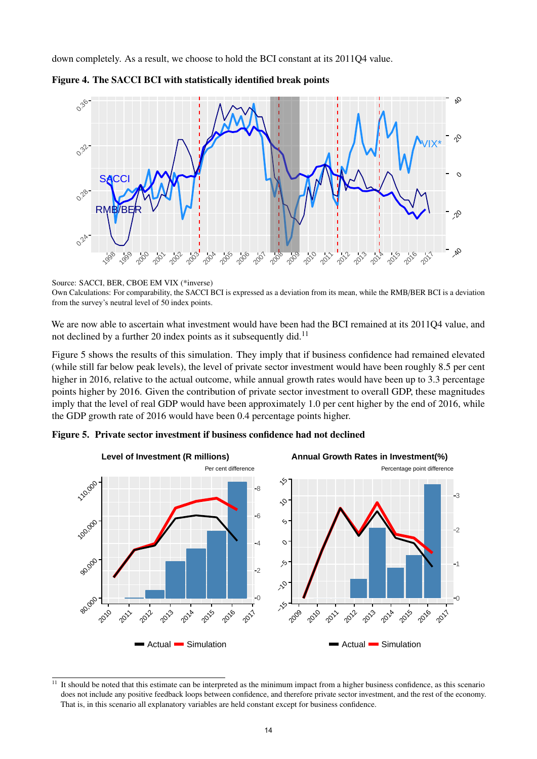down completely. As a result, we choose to hold the BCI constant at its 2011Q4 value.





#### Source: SACCI, BER, CBOE EM VIX (\*inverse)

Own Calculations: For comparability, the SACCI BCI is expressed as a deviation from its mean, while the RMB/BER BCI is a deviation from the survey's neutral level of 50 index points.

We are now able to ascertain what investment would have been had the BCI remained at its 2011Q4 value, and not declined by a further 20 index points as it subsequently did.<sup>[11](#page-2-0)</sup>

Figure [5](#page-7-0) shows the results of this simulation. They imply that if business confidence had remained elevated (while still far below peak levels), the level of private sector investment would have been roughly 8.5 per cent higher in 2016, relative to the actual outcome, while annual growth rates would have been up to 3.3 percentage points higher by 2016. Given the contribution of private sector investment to overall GDP, these magnitudes imply that the level of real GDP would have been approximately 1.0 per cent higher by the end of 2016, while the GDP growth rate of 2016 would have been 0.4 percentage points higher.



<span id="page-7-0"></span>

 $11$  It should be noted that this estimate can be interpreted as the minimum impact from a higher business confidence, as this scenario does not include any positive feedback loops between confidence, and therefore private sector investment, and the rest of the economy. That is, in this scenario all explanatory variables are held constant except for business confidence.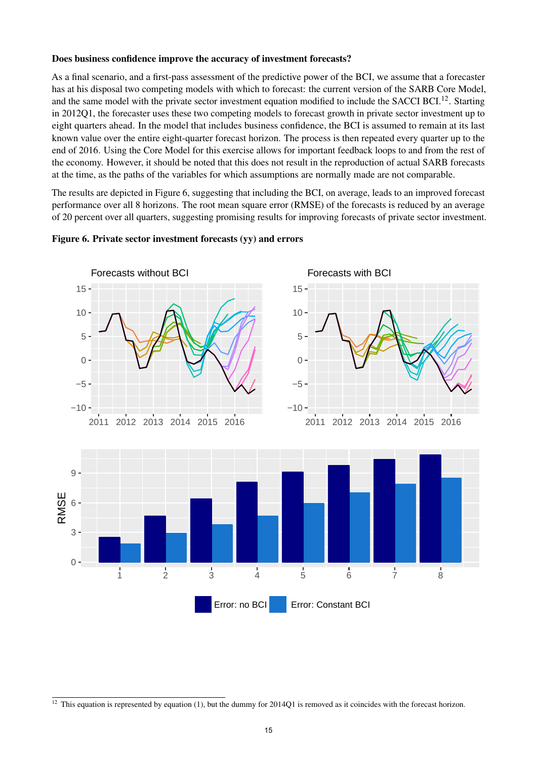#### Does business confidence improve the accuracy of investment forecasts?

As a final scenario, and a first-pass assessment of the predictive power of the BCI, we assume that a forecaster has at his disposal two competing models with which to forecast: the current version of the SARB Core Model, and the same model with the private sector investment equation modified to include the SACCI BCI.<sup>[12](#page-2-0)</sup>. Starting in 2012Q1, the forecaster uses these two competing models to forecast growth in private sector investment up to eight quarters ahead. In the model that includes business confidence, the BCI is assumed to remain at its last known value over the entire eight-quarter forecast horizon. The process is then repeated every quarter up to the end of 2016. Using the Core Model for this exercise allows for important feedback loops to and from the rest of the economy. However, it should be noted that this does not result in the reproduction of actual SARB forecasts at the time, as the paths of the variables for which assumptions are normally made are not comparable.

The results are depicted in Figure [6,](#page-8-0) suggesting that including the BCI, on average, leads to an improved forecast performance over all 8 horizons. The root mean square error (RMSE) of the forecasts is reduced by an average of 20 percent over all quarters, suggesting promising results for improving forecasts of private sector investment.



#### <span id="page-8-0"></span>Figure 6. Private sector investment forecasts (yy) and errors

 $12$  This equation is represented by equation [\(1\)](#page-5-0), but the dummy for 2014Q1 is removed as it coincides with the forecast horizon.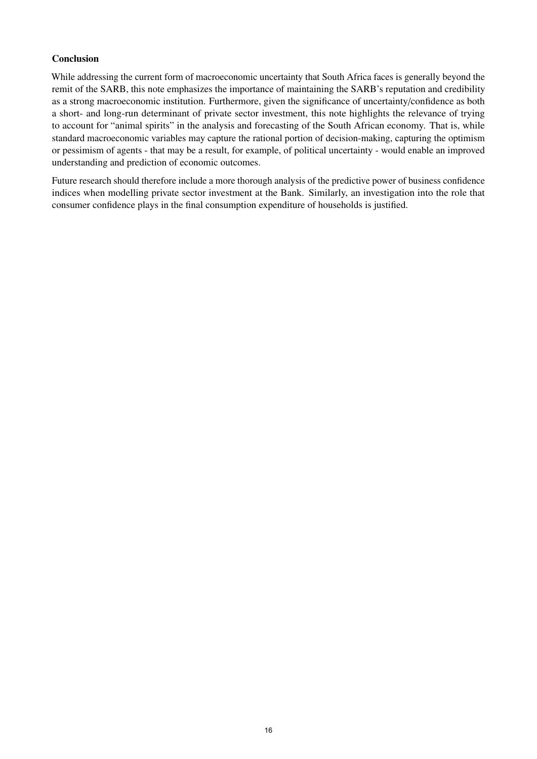#### Conclusion

While addressing the current form of macroeconomic uncertainty that South Africa faces is generally beyond the remit of the SARB, this note emphasizes the importance of maintaining the SARB's reputation and credibility as a strong macroeconomic institution. Furthermore, given the significance of uncertainty/confidence as both a short- and long-run determinant of private sector investment, this note highlights the relevance of trying to account for "animal spirits" in the analysis and forecasting of the South African economy. That is, while standard macroeconomic variables may capture the rational portion of decision-making, capturing the optimism or pessimism of agents - that may be a result, for example, of political uncertainty - would enable an improved understanding and prediction of economic outcomes.

Future research should therefore include a more thorough analysis of the predictive power of business confidence indices when modelling private sector investment at the Bank. Similarly, an investigation into the role that consumer confidence plays in the final consumption expenditure of households is justified.